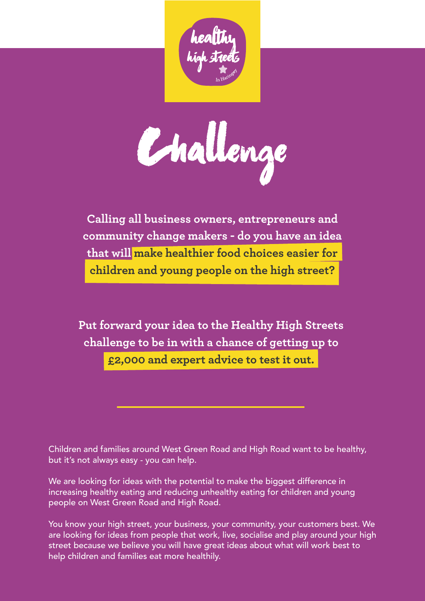

challenge

**Calling all business owners, entrepreneurs and community change makers - do you have an idea that will make healthier food choices easier for children and young people on the high street?**

**Put forward your idea to the Healthy High Streets challenge to be in with a chance of getting up to £2,000 and expert advice to test it out.**

Children and families around West Green Road and High Road want to be healthy, but it's not always easy - you can help.

We are looking for ideas with the potential to make the biggest difference in increasing healthy eating and reducing unhealthy eating for children and young people on West Green Road and High Road.

You know your high street, your business, your community, your customers best. We are looking for ideas from people that work, live, socialise and play around your high street because we believe you will have great ideas about what will work best to help children and families eat more healthily.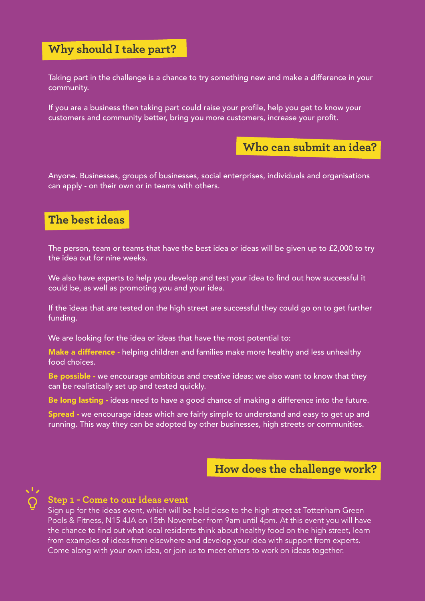# **Why should I take part?**

Taking part in the challenge is a chance to try something new and make a difference in your community.

If you are a business then taking part could raise your profile, help you get to know your customers and community better, bring you more customers, increase your profit.



Anyone. Businesses, groups of businesses, social enterprises, individuals and organisations can apply - on their own or in teams with others.

# **The best ideas**

The person, team or teams that have the best idea or ideas will be given up to £2,000 to try the idea out for nine weeks.

We also have experts to help you develop and test your idea to find out how successful it could be, as well as promoting you and your idea.

If the ideas that are tested on the high street are successful they could go on to get further funding.

We are looking for the idea or ideas that have the most potential to:

Make a difference - helping children and families make more healthy and less unhealthy food choices.

Be possible - we encourage ambitious and creative ideas; we also want to know that they can be realistically set up and tested quickly.

Be long lasting - ideas need to have a good chance of making a difference into the future.

Spread - we encourage ideas which are fairly simple to understand and easy to get up and running. This way they can be adopted by other businesses, high streets or communities.

## **How does the challenge work?**



### **Step 1 - Come to our ideas event**

Sign up for the ideas event, which will be held close to the high street at Tottenham Green Pools & Fitness, N15 4JA on 15th November from 9am until 4pm. At this event you will have the chance to find out what local residents think about healthy food on the high street, learn from examples of ideas from elsewhere and develop your idea with support from experts. Come along with your own idea, or join us to meet others to work on ideas together.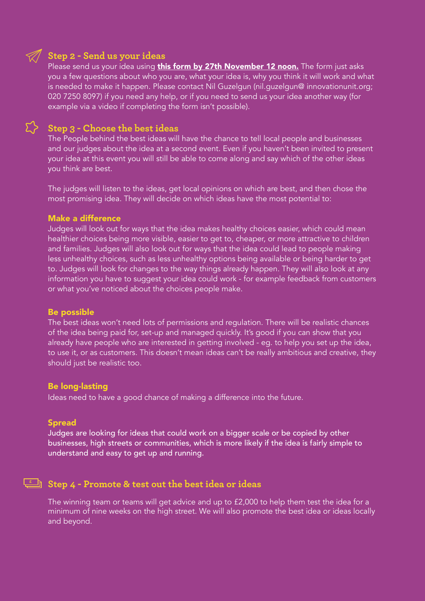# **Step 2 - Send us your ideas**

Please send us your idea using **[this form by 27th November 12 noon.](https://vickip.typeform.com/to/qaH6oa)** The form just asks you a few questions about who you are, what your idea is, why you think it will work and what is needed to make it happen. Please contact Nil Guzelgun (nil.guzelgun@ innovationunit.org; 020 7250 8097) if you need any help, or if you need to send us your idea another way (for example via a video if completing the form isn't possible).



### **Step 3 - Choose the best ideas**

The People behind the best ideas will have the chance to tell local people and businesses and our judges about the idea at a second event. Even if you haven't been invited to present your idea at this event you will still be able to come along and say which of the other ideas you think are best.

The judges will listen to the ideas, get local opinions on which are best, and then chose the most promising idea. They will decide on which ideas have the most potential to:

#### Make a difference

Judges will look out for ways that the idea makes healthy choices easier, which could mean healthier choices being more visible, easier to get to, cheaper, or more attractive to children and families. Judges will also look out for ways that the idea could lead to people making less unhealthy choices, such as less unhealthy options being available or being harder to get to. Judges will look for changes to the way things already happen. They will also look at any information you have to suggest your idea could work - for example feedback from customers or what you've noticed about the choices people make.

#### Be possible

The best ideas won't need lots of permissions and regulation. There will be realistic chances of the idea being paid for, set-up and managed quickly. It's good if you can show that you already have people who are interested in getting involved - eg. to help you set up the idea, to use it, or as customers. This doesn't mean ideas can't be really ambitious and creative, they should just be realistic too.

#### Be long-lasting

Ideas need to have a good chance of making a difference into the future.

#### **Spread**

Judges are looking for ideas that could work on a bigger scale or be copied by other businesses, high streets or communities, which is more likely if the idea is fairly simple to understand and easy to get up and running.

### **Step 4 - Promote & test out the best idea or ideas £**

The winning team or teams will get advice and up to £2,000 to help them test the idea for a minimum of nine weeks on the high street. We will also promote the best idea or ideas locally and beyond.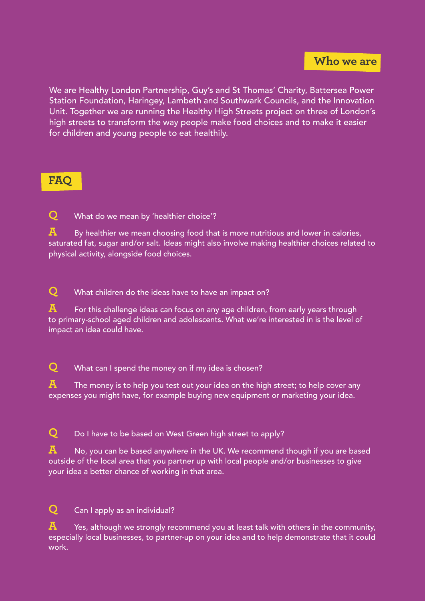We are Healthy London Partnership, Guy's and St Thomas' Charity, Battersea Power Station Foundation, Haringey, Lambeth and Southwark Councils, and the Innovation Unit. Together we are running the Healthy High Streets project on three of London's high streets to transform the way people make food choices and to make it easier for children and young people to eat healthily.

# **FAQ**

**Q** What do we mean by 'healthier choice'?

**A** By healthier we mean choosing food that is more nutritious and lower in calories, saturated fat, sugar and/or salt. Ideas might also involve making healthier choices related to physical activity, alongside food choices.

**Q** What children do the ideas have to have an impact on?

**A** For this challenge ideas can focus on any age children, from early years through to primary-school aged children and adolescents. What we're interested in is the level of impact an idea could have.

**Q** What can I spend the money on if my idea is chosen?

**A** The money is to help you test out your idea on the high street; to help cover any expenses you might have, for example buying new equipment or marketing your idea.

**Q** Do I have to be based on West Green high street to apply?

**A** No, you can be based anywhere in the UK. We recomme<u>nd though if you are based</u> outside of the local area that you partner up with local people and/or businesses to give your idea a better chance of working in that area.

**Q** Can I apply as an individual?

**A** Yes, although we strongly recommend you at least talk with others in the community, especially local businesses, to partner-up on your idea and to help demonstrate that it could work.